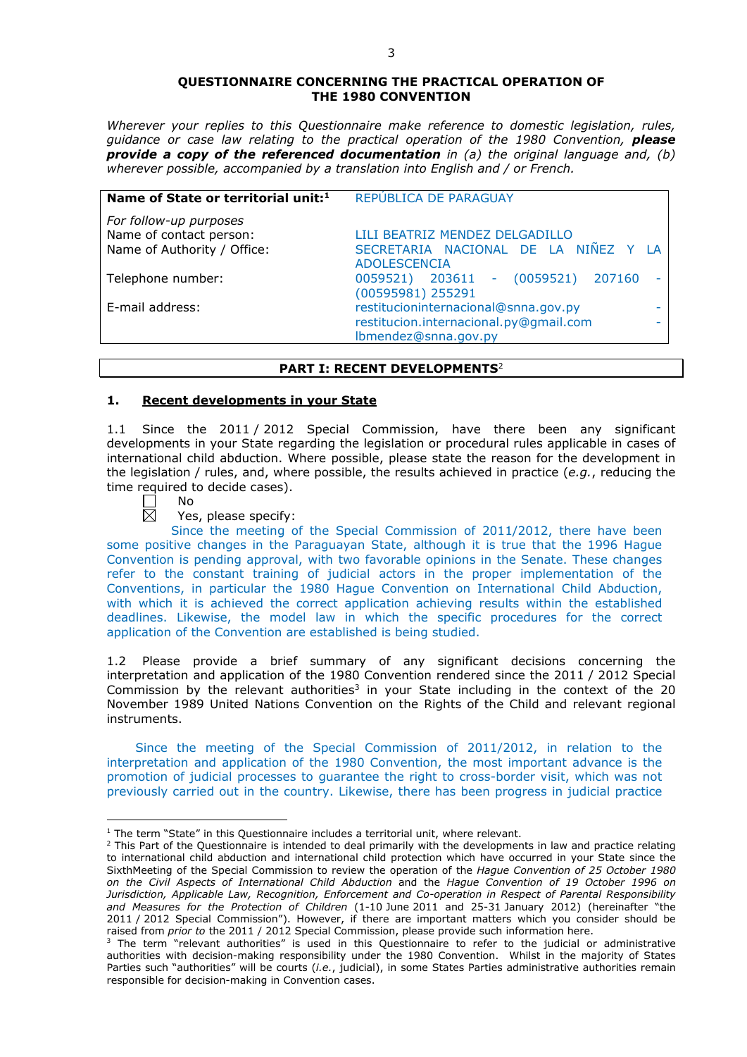#### **QUESTIONNAIRE CONCERNING THE PRACTICAL OPERATION OF THE 1980 CONVENTION**

*Wherever your replies to this Questionnaire make reference to domestic legislation, rules, guidance or case law relating to the practical operation of the 1980 Convention, please provide a copy of the referenced documentation in (a) the original language and, (b) wherever possible, accompanied by a translation into English and / or French.* 

| Name of State or territorial unit: <sup>1</sup>   | REPÚBLICA DE PARAGUAY                                                                                  |  |
|---------------------------------------------------|--------------------------------------------------------------------------------------------------------|--|
| For follow-up purposes<br>Name of contact person: | LILI BEATRIZ MENDEZ DELGADILLO                                                                         |  |
| Name of Authority / Office:                       | SECRETARIA NACIONAL DE LA NIÑEZ Y<br><b>ADOLESCENCIA</b>                                               |  |
| Telephone number:                                 | 0059521) 203611 - (0059521)<br>207160<br>(00595981) 255291                                             |  |
| E-mail address:                                   | restitucioninternacional@snna.gov.py<br>restitucion.internacional.py@gmail.com<br>Ibmendez@snna.gov.py |  |

#### **PART I: RECENT DEVELOPMENTS**<sup>2</sup>

## **1. Recent developments in your State**

1.1 Since the 2011 / 2012 Special Commission, have there been any significant developments in your State regarding the legislation or procedural rules applicable in cases of international child abduction. Where possible, please state the reason for the development in the legislation / rules, and, where possible, the results achieved in practice (*e.g.*, reducing the time required to decide cases).<br>  $\Box$  No

No  $\overline{\boxtimes}$ 

<u>.</u>

Yes, please specify:

Since the meeting of the Special Commission of 2011/2012, there have been some positive changes in the Paraguayan State, although it is true that the 1996 Hague Convention is pending approval, with two favorable opinions in the Senate. These changes refer to the constant training of judicial actors in the proper implementation of the Conventions, in particular the 1980 Hague Convention on International Child Abduction, with which it is achieved the correct application achieving results within the established deadlines. Likewise, the model law in which the specific procedures for the correct application of the Convention are established is being studied.

1.2 Please provide a brief summary of any significant decisions concerning the interpretation and application of the 1980 Convention rendered since the 2011 / 2012 Special Commission by the relevant authorities<sup>3</sup> in your State including in the context of the 20 November 1989 United Nations Convention on the Rights of the Child and relevant regional instruments.

Since the meeting of the Special Commission of 2011/2012, in relation to the interpretation and application of the 1980 Convention, the most important advance is the promotion of judicial processes to guarantee the right to cross-border visit, which was not previously carried out in the country. Likewise, there has been progress in judicial practice

<sup>&</sup>lt;sup>1</sup> The term "State" in this Questionnaire includes a territorial unit, where relevant.

 $<sup>2</sup>$  This Part of the Questionnaire is intended to deal primarily with the developments in law and practice relating</sup> to international child abduction and international child protection which have occurred in your State since the SixthMeeting of the Special Commission to review the operation of the *Hague Convention of 25 October 1980 on the Civil Aspects of International Child Abduction* and the *Hague Convention of 19 October 1996 on Jurisdiction, Applicable Law, Recognition, Enforcement and Co-operation in Respect of Parental Responsibility and Measures for the Protection of Children* (1-10 June 2011 and 25-31 January 2012) (hereinafter "the 2011 / 2012 Special Commission"). However, if there are important matters which you consider should be raised from *prior to* the 2011 / 2012 Special Commission, please provide such information here.

 $3$  The term "relevant authorities" is used in this Questionnaire to refer to the judicial or administrative authorities with decision-making responsibility under the 1980 Convention. Whilst in the majority of States Parties such "authorities" will be courts (*i.e.*, judicial), in some States Parties administrative authorities remain responsible for decision-making in Convention cases.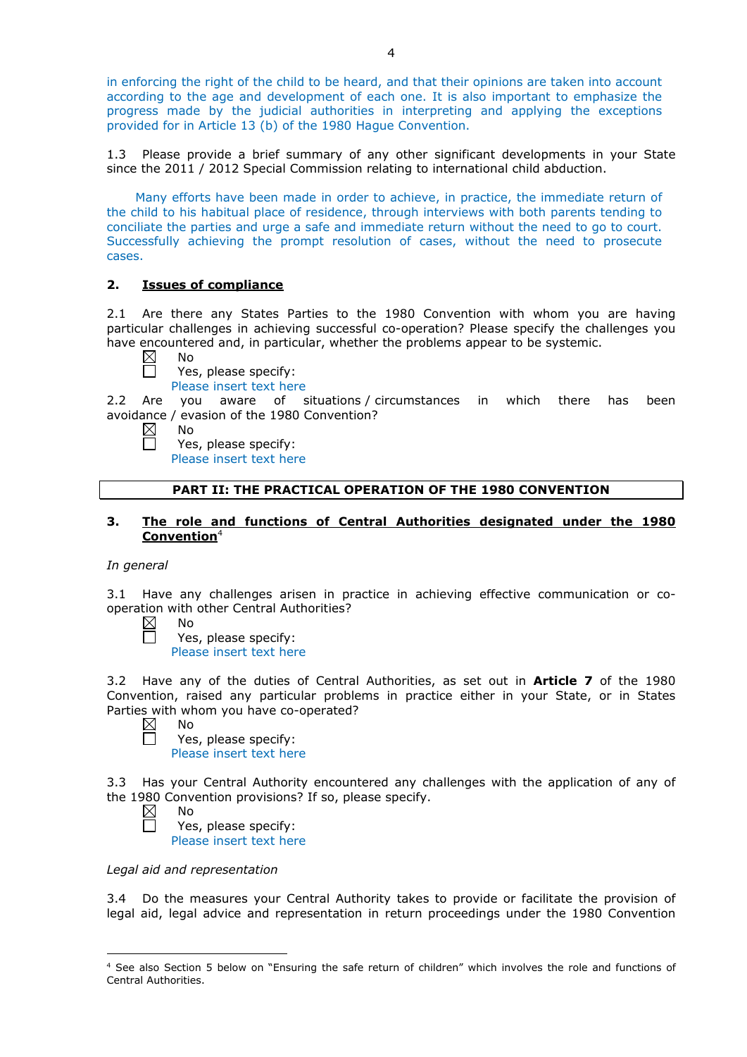in enforcing the right of the child to be heard, and that their opinions are taken into account according to the age and development of each one. It is also important to emphasize the progress made by the judicial authorities in interpreting and applying the exceptions provided for in Article 13 (b) of the 1980 Hague Convention.

1.3 Please provide a brief summary of any other significant developments in your State since the 2011 / 2012 Special Commission relating to international child abduction.

Many efforts have been made in order to achieve, in practice, the immediate return of the child to his habitual place of residence, through interviews with both parents tending to conciliate the parties and urge a safe and immediate return without the need to go to court. Successfully achieving the prompt resolution of cases, without the need to prosecute cases.

# **2. Issues of compliance**

2.1 Are there any States Parties to the 1980 Convention with whom you are having particular challenges in achieving successful co-operation? Please specify the challenges you have encountered and, in particular, whether the problems appear to be systemic.

 $\boxtimes$ No

П

П

- Yes, please specify:
- Please insert text here

2.2 Are you aware of situations / circumstances in which there has been avoidance / evasion of the 1980 Convention?

- $\boxtimes$ No
	- Yes, please specify: Please insert text here

# **PART II: THE PRACTICAL OPERATION OF THE 1980 CONVENTION**

# **3. The role and functions of Central Authorities designated under the 1980 Convention**<sup>4</sup>

## *In general*

3.1 Have any challenges arisen in practice in achieving effective communication or cooperation with other Central Authorities?

| $\boxtimes$ | N٥                      |
|-------------|-------------------------|
|             | Yes, please specify:    |
|             | Please insert text here |

3.2 Have any of the duties of Central Authorities, as set out in **Article 7** of the 1980 Convention, raised any particular problems in practice either in your State, or in States Parties with whom you have co-operated?

No

 $\Box$ 

П

Yes, please specify: Please insert text here

3.3 Has your Central Authority encountered any challenges with the application of any of the 1980 Convention provisions? If so, please specify.

 $\boxtimes$ No

Yes, please specify:

Please insert text here

#### *Legal aid and representation*

3.4 Do the measures your Central Authority takes to provide or facilitate the provision of legal aid, legal advice and representation in return proceedings under the 1980 Convention

<sup>-</sup><sup>4</sup> See also Section 5 below on "Ensuring the safe return of children" which involves the role and functions of Central Authorities.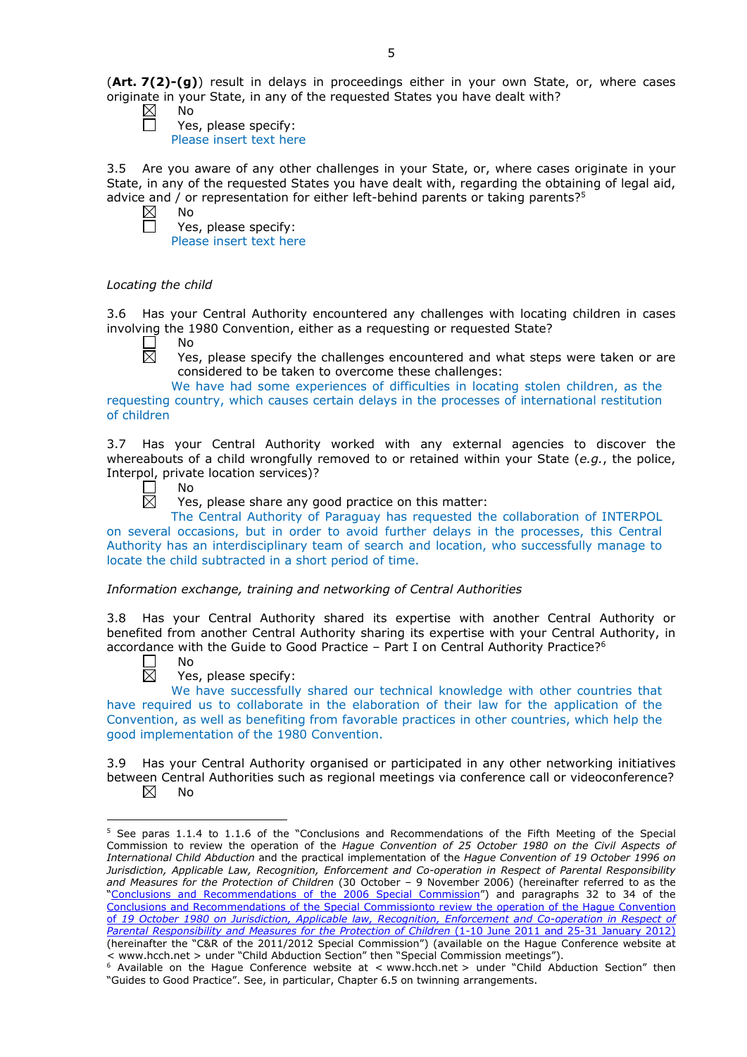(**Art. 7(2)-(g)**) result in delays in proceedings either in your own State, or, where cases originate in your State, in any of the requested States you have dealt with?

 $\boxtimes$ No

Yes, please specify: Please insert text here

3.5 Are you aware of any other challenges in your State, or, where cases originate in your State, in any of the requested States you have dealt with, regarding the obtaining of legal aid, advice and / or representation for either left-behind parents or taking parents?<sup>5</sup><br> $\boxtimes$  No No

 $\Box$ 

Yes, please specify: Please insert text here

# *Locating the child*

3.6 Has your Central Authority encountered any challenges with locating children in cases involving the 1980 Convention, either as a requesting or requested State?

- П No
- $\boxtimes$ Yes, please specify the challenges encountered and what steps were taken or are considered to be taken to overcome these challenges:

We have had some experiences of difficulties in locating stolen children, as the requesting country, which causes certain delays in the processes of international restitution of children

3.7 Has your Central Authority worked with any external agencies to discover the whereabouts of a child wrongfully removed to or retained within your State (*e.g.*, the police, Interpol, private location services)?<br>  $\Box$  No<br>  $\boxtimes$  Yes, please share any quality

- No
	- Yes, please share any good practice on this matter:

The Central Authority of Paraguay has requested the collaboration of INTERPOL on several occasions, but in order to avoid further delays in the processes, this Central Authority has an interdisciplinary team of search and location, who successfully manage to locate the child subtracted in a short period of time.

*Information exchange, training and networking of Central Authorities*

3.8 Has your Central Authority shared its expertise with another Central Authority or benefited from another Central Authority sharing its expertise with your Central Authority, in accordance with the Guide to Good Practice – Part I on Central Authority Practice?6

No  $\boxtimes$ 

<u>.</u>

Yes, please specify:

We have successfully shared our technical knowledge with other countries that have required us to collaborate in the elaboration of their law for the application of the Convention, as well as benefiting from favorable practices in other countries, which help the good implementation of the 1980 Convention.

3.9 Has your Central Authority organised or participated in any other networking initiatives between Central Authorities such as regional meetings via conference call or videoconference?  $\boxtimes$ No

<sup>5</sup> See paras 1.1.4 to 1.1.6 of the "Conclusions and Recommendations of the Fifth Meeting of the Special Commission to review the operation of the *Hague Convention of 25 October 1980 on the Civil Aspects of International Child Abduction* and the practical implementation of the *Hague Convention of 19 October 1996 on Jurisdiction, Applicable Law, Recognition, Enforcement and Co-operation in Respect of Parental Responsibility and Measures for the Protection of Children* (30 October – 9 November 2006) (hereinafter referred to as the ["Conclusions and Recommendations of the 2006 Special Commission"](https://assets.hcch.net/upload/concl28sc5_e.pdf)) and paragraphs 32 to 34 of the [Conclusions and Recommendations of the Special Commissionto review the operation of the Hague Convention](https://assets.hcch.net/upload/wop/concl28sc6_e.pdf)  of *[19 October 1980 on Jurisdiction, Applicable law, Recognition, Enforcement and Co-operation in Respect of](https://assets.hcch.net/upload/wop/concl28sc6_e.pdf)  [Parental Responsibility and Measures for the Protection of Children](https://assets.hcch.net/upload/wop/concl28sc6_e.pdf)* (1-10 June 2011 and 25-31 January 2012) (hereinafter the "C&R of the 2011/2012 Special Commission") (available on the Hague Conference website at

<sup>&</sup>lt; www.hcch.net > under "Child Abduction Section" then "Special Commission meetings"). 6 Available on the Hague Conference website at < www.hcch.net > under "Child Abduction Section" then "Guides to Good Practice". See, in particular, Chapter 6.5 on twinning arrangements.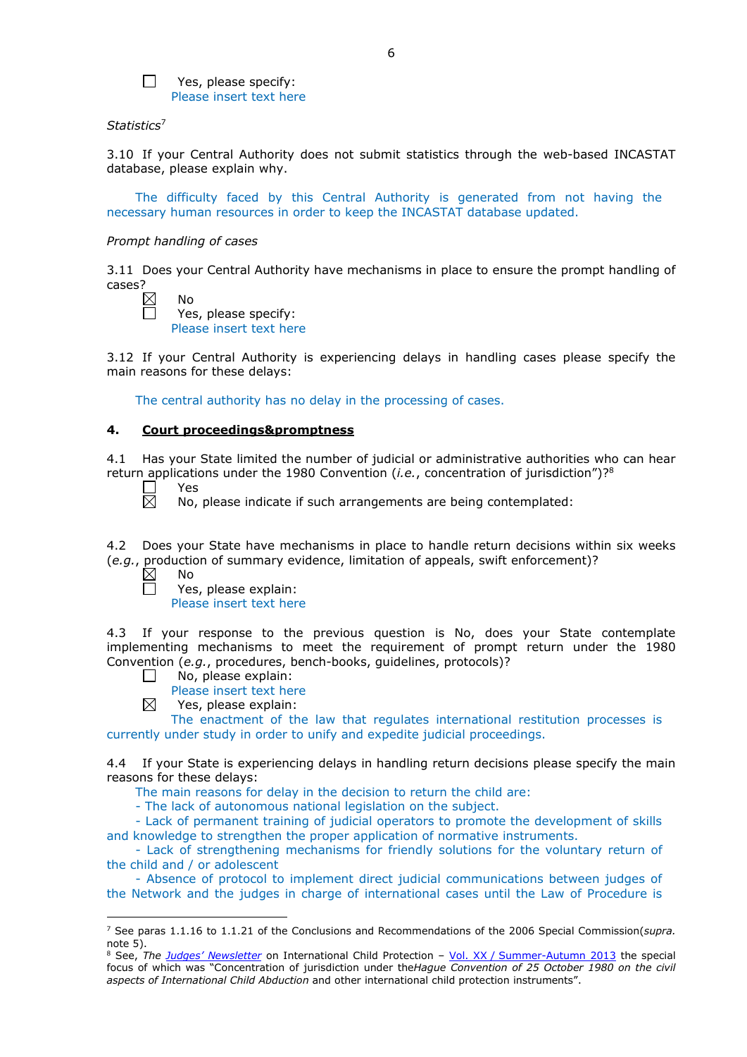

Yes, please specify: Please insert text here

## *Statistics*<sup>7</sup>

3.10 If your Central Authority does not submit statistics through the web-based INCASTAT database, please explain why.

The difficulty faced by this Central Authority is generated from not having the necessary human resources in order to keep the INCASTAT database updated.

## *Prompt handling of cases*

3.11 Does your Central Authority have mechanisms in place to ensure the prompt handling of cases?

| Nο |
|----|
| −  |

s, please specify: Please insert text here

3.12 If your Central Authority is experiencing delays in handling cases please specify the main reasons for these delays:

The central authority has no delay in the processing of cases.

## **4. Court proceedings&promptness**

4.1 Has your State limited the number of judicial or administrative authorities who can hear return applications under the 1980 Convention (*i.e.*, concentration of jurisdiction")?8

- $\overline{\boxtimes}$ Yes
	- No, please indicate if such arrangements are being contemplated:

4.2 Does your State have mechanisms in place to handle return decisions within six weeks (*e.g.*, production of summary evidence, limitation of appeals, swift enforcement)?

 $\boxtimes$ No

 $\Box$ 

-

Yes, please explain:

Please insert text here

4.3 If your response to the previous question is No, does your State contemplate implementing mechanisms to meet the requirement of prompt return under the 1980 Convention (*e.g.*, procedures, bench-books, guidelines, protocols)?

- $\Box$ No, please explain:
	- Please insert text here
- ⊠ Yes, please explain:

The enactment of the law that regulates international restitution processes is currently under study in order to unify and expedite judicial proceedings.

4.4 If your State is experiencing delays in handling return decisions please specify the main reasons for these delays:

The main reasons for delay in the decision to return the child are:

- The lack of autonomous national legislation on the subject.

- Lack of permanent training of judicial operators to promote the development of skills and knowledge to strengthen the proper application of normative instruments.

- Lack of strengthening mechanisms for friendly solutions for the voluntary return of the child and / or adolescent

- Absence of protocol to implement direct judicial communications between judges of the Network and the judges in charge of international cases until the Law of Procedure is

<sup>7</sup> See paras 1.1.16 to 1.1.21 of the Conclusions and Recommendations of the 2006 Special Commission(*supra.*  note 5).

<sup>8</sup> See, *The [Judges' Newsletter](https://www.hcch.net/en/instruments/conventions/publications2/judges-newsletter)* on International Child Protection – Vol. XX / [Summer-Autumn 2013](https://assets.hcch.net/upload/newsletter/nl2013tome20en.pdf) the special focus of which was "Concentration of jurisdiction under the*Hague Convention of 25 October 1980 on the civil aspects of International Child Abduction* and other international child protection instruments".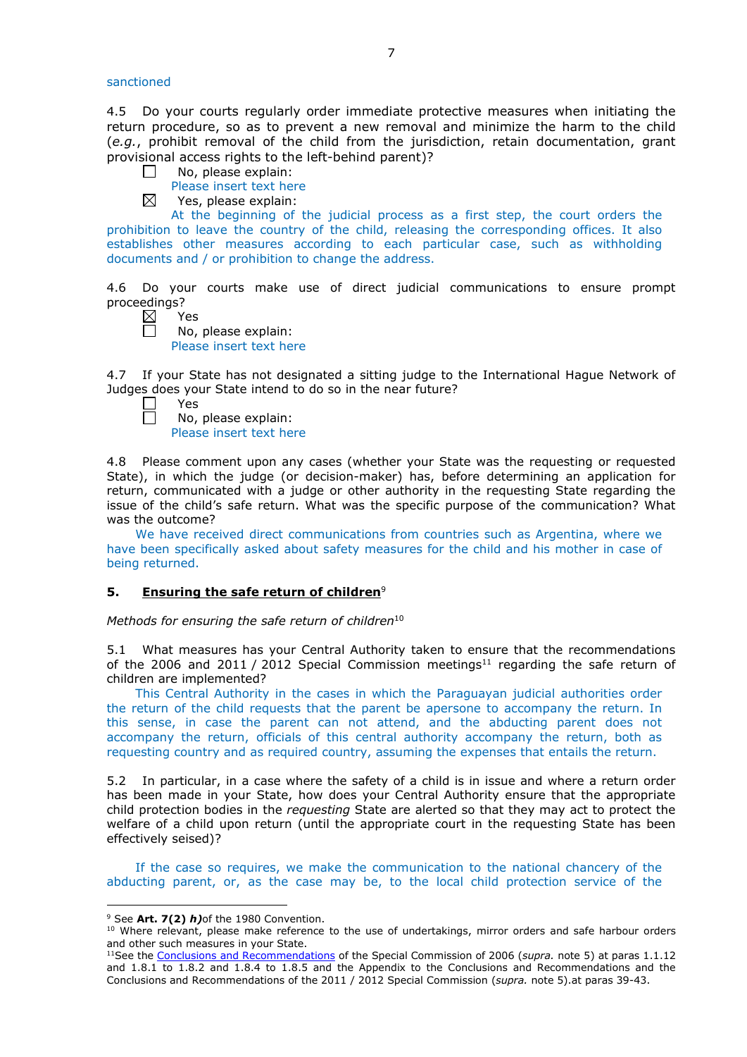sanctioned

4.5 Do your courts regularly order immediate protective measures when initiating the return procedure, so as to prevent a new removal and minimize the harm to the child (*e.g.*, prohibit removal of the child from the jurisdiction, retain documentation, grant provisional access rights to the left-behind parent)?

- No, please explain:  $\Box$ 
	- Please insert text here
- $\boxtimes$ Yes, please explain:

At the beginning of the judicial process as a first step, the court orders the prohibition to leave the country of the child, releasing the corresponding offices. It also establishes other measures according to each particular case, such as withholding documents and / or prohibition to change the address.

4.6 Do your courts make use of direct judicial communications to ensure prompt proceedings?

| $\boxtimes$ | ٧ |
|-------------|---|
|             |   |

 $\Box$ No, please explain: Please insert text here

4.7 If your State has not designated a sitting judge to the International Hague Network of Judges does your State intend to do so in the near future?

| $\Box$ | Yes                     |
|--------|-------------------------|
| $\Box$ | No, please explain:     |
|        | Please insert text here |

4.8 Please comment upon any cases (whether your State was the requesting or requested State), in which the judge (or decision-maker) has, before determining an application for return, communicated with a judge or other authority in the requesting State regarding the issue of the child's safe return. What was the specific purpose of the communication? What was the outcome?

We have received direct communications from countries such as Argentina, where we have been specifically asked about safety measures for the child and his mother in case of being returned.

## **5. Ensuring the safe return of children**<sup>9</sup>

*Methods for ensuring the safe return of children*<sup>10</sup>

5.1 What measures has your Central Authority taken to ensure that the recommendations of the 2006 and 2011 / 2012 Special Commission meetings<sup>11</sup> regarding the safe return of children are implemented?

This Central Authority in the cases in which the Paraguayan judicial authorities order the return of the child requests that the parent be apersone to accompany the return. In this sense, in case the parent can not attend, and the abducting parent does not accompany the return, officials of this central authority accompany the return, both as requesting country and as required country, assuming the expenses that entails the return.

5.2 In particular, in a case where the safety of a child is in issue and where a return order has been made in your State, how does your Central Authority ensure that the appropriate child protection bodies in the *requesting* State are alerted so that they may act to protect the welfare of a child upon return (until the appropriate court in the requesting State has been effectively seised)?

If the case so requires, we make the communication to the national chancery of the abducting parent, or, as the case may be, to the local child protection service of the

-

<sup>9</sup> See **Art. 7(2)** *h)*of the 1980 Convention.

<sup>&</sup>lt;sup>10</sup> Where relevant, please make reference to the use of undertakings, mirror orders and safe harbour orders and other such measures in your State.

<sup>11</sup>See the [Conclusions and Recommendations](https://assets.hcch.net/upload/concl28sc5_e.pdf) of the Special Commission of 2006 (*supra.* note 5) at paras 1.1.12 and 1.8.1 to 1.8.2 and 1.8.4 to 1.8.5 and the Appendix to the Conclusions and Recommendations and the [Conclusions and Recommendations of the 2011](https://assets.hcch.net/upload/wop/concl28sc6_e.pdf) / 2012 Special Commission (*supra.* note 5).at paras 39-43.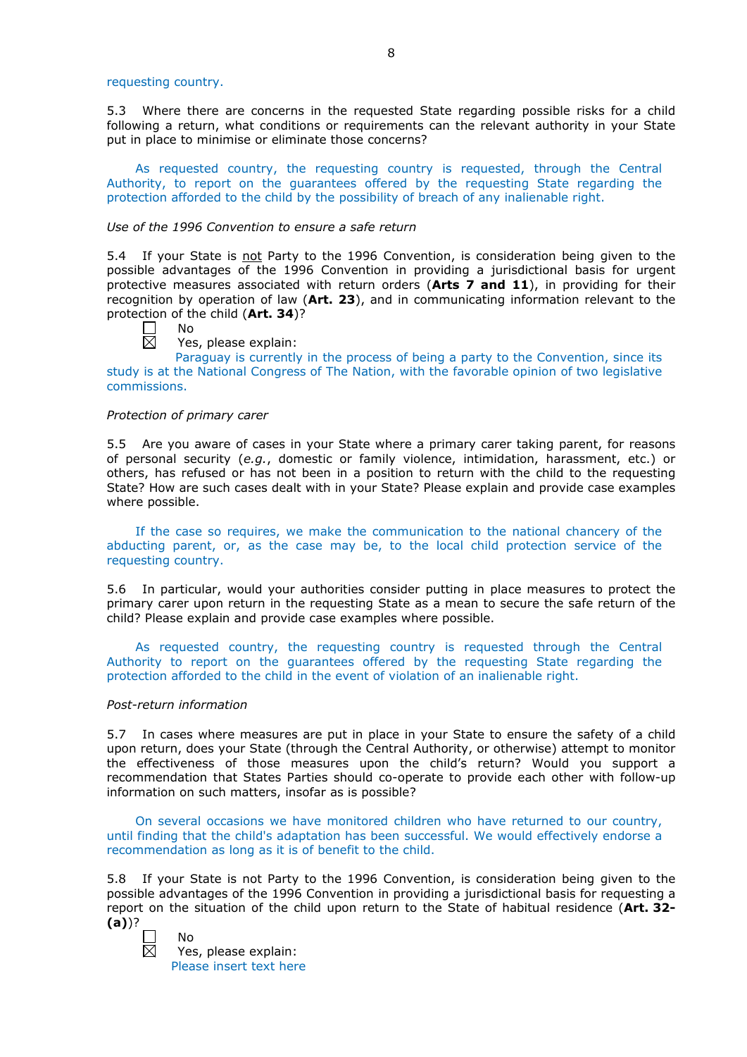requesting country.

5.3 Where there are concerns in the requested State regarding possible risks for a child following a return, what conditions or requirements can the relevant authority in your State put in place to minimise or eliminate those concerns?

As requested country, the requesting country is requested, through the Central Authority, to report on the guarantees offered by the requesting State regarding the protection afforded to the child by the possibility of breach of any inalienable right.

## *Use of the 1996 Convention to ensure a safe return*

5.4 If your State is not Party to the 1996 Convention, is consideration being given to the possible advantages of the 1996 Convention in providing a jurisdictional basis for urgent protective measures associated with return orders (**Arts 7 and 11**), in providing for their recognition by operation of law (**Art. 23**), and in communicating information relevant to the protection of the child (**Art. 34**)?

No

 $\boxtimes$ 

Yes, please explain:

Paraguay is currently in the process of being a party to the Convention, since its study is at the National Congress of The Nation, with the favorable opinion of two legislative commissions.

#### *Protection of primary carer*

5.5 Are you aware of cases in your State where a primary carer taking parent, for reasons of personal security (*e.g.*, domestic or family violence, intimidation, harassment, etc.) or others, has refused or has not been in a position to return with the child to the requesting State? How are such cases dealt with in your State? Please explain and provide case examples where possible.

If the case so requires, we make the communication to the national chancery of the abducting parent, or, as the case may be, to the local child protection service of the requesting country.

5.6 In particular, would your authorities consider putting in place measures to protect the primary carer upon return in the requesting State as a mean to secure the safe return of the child? Please explain and provide case examples where possible.

As requested country, the requesting country is requested through the Central Authority to report on the guarantees offered by the requesting State regarding the protection afforded to the child in the event of violation of an inalienable right.

#### *Post-return information*

No

5.7 In cases where measures are put in place in your State to ensure the safety of a child upon return, does your State (through the Central Authority, or otherwise) attempt to monitor the effectiveness of those measures upon the child's return? Would you support a recommendation that States Parties should co-operate to provide each other with follow-up information on such matters, insofar as is possible?

On several occasions we have monitored children who have returned to our country, until finding that the child's adaptation has been successful. We would effectively endorse a recommendation as long as it is of benefit to the child.

5.8 If your State is not Party to the 1996 Convention, is consideration being given to the possible advantages of the 1996 Convention in providing a jurisdictional basis for requesting a report on the situation of the child upon return to the State of habitual residence (**Art. 32- (a)**)?

岗

Yes, please explain: Please insert text here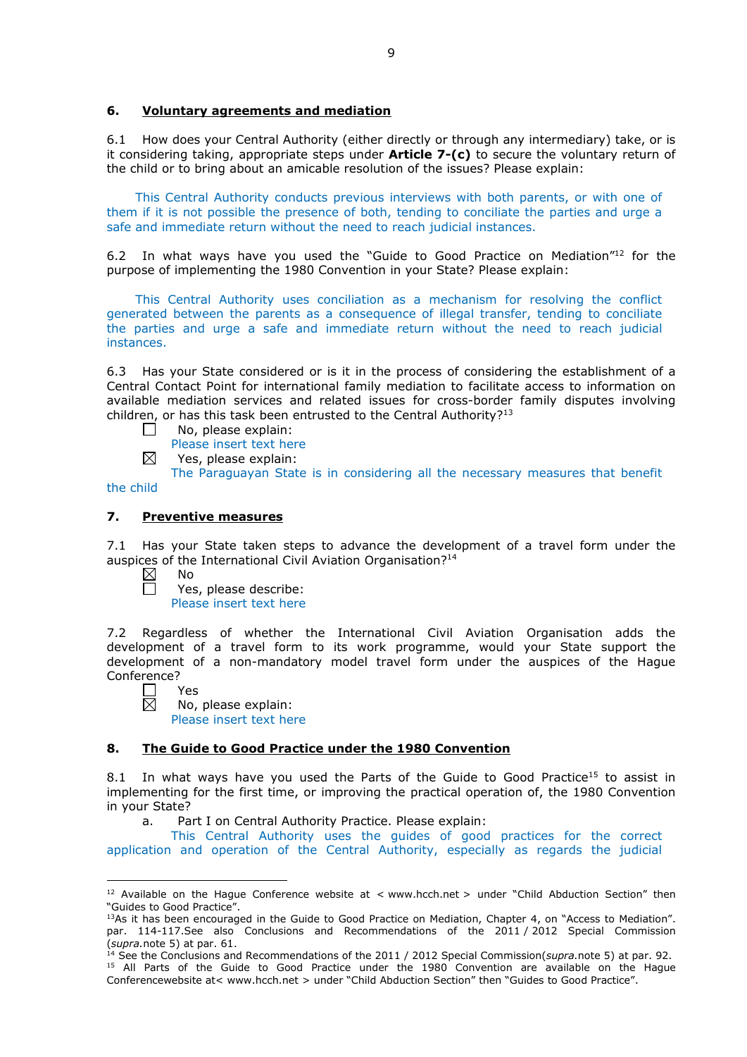## **6. Voluntary agreements and mediation**

6.1 How does your Central Authority (either directly or through any intermediary) take, or is it considering taking, appropriate steps under **Article 7-(c)** to secure the voluntary return of the child or to bring about an amicable resolution of the issues? Please explain:

This Central Authority conducts previous interviews with both parents, or with one of them if it is not possible the presence of both, tending to conciliate the parties and urge a safe and immediate return without the need to reach judicial instances.

6.2 In what ways have you used the "Guide to Good Practice on Mediation"12 for the purpose of implementing the 1980 Convention in your State? Please explain:

This Central Authority uses conciliation as a mechanism for resolving the conflict generated between the parents as a consequence of illegal transfer, tending to conciliate the parties and urge a safe and immediate return without the need to reach judicial instances.

6.3 Has your State considered or is it in the process of considering the establishment of a Central Contact Point for international family mediation to facilitate access to information on available mediation services and related issues for cross-border family disputes involving children, or has this task been entrusted to the Central Authority?<sup>13</sup>

- П No, please explain:
	- Please insert text here
- ⊠ Yes, please explain:

The Paraguayan State is in considering all the necessary measures that benefit

# the child

# **7. Preventive measures**

7.1 Has your State taken steps to advance the development of a travel form under the auspices of the International Civil Aviation Organisation?<sup>14</sup>

- $\boxtimes$ No  $\Box$ 
	- Yes, please describe:
	- Please insert text here

7.2 Regardless of whether the International Civil Aviation Organisation adds the development of a travel form to its work programme, would your State support the development of a non-mandatory model travel form under the auspices of the Hague Conference?

П Yes  $\boxtimes$ 

No, please explain: Please insert text here

## **8. The Guide to Good Practice under the 1980 Convention**

8.1 In what ways have you used the Parts of the Guide to Good Practice<sup>15</sup> to assist in implementing for the first time, or improving the practical operation of, the 1980 Convention in your State?

a. Part I on Central Authority Practice. Please explain:

This Central Authority uses the guides of good practices for the correct application and operation of the Central Authority, especially as regards the judicial

<sup>&</sup>lt;u>.</u> <sup>12</sup> Available on the Hague Conference website at < www.hcch.net > under "Child Abduction Section" then "Guides to Good Practice".

 $13As$  it has been encouraged in the Guide to Good Practice on Mediation, Chapter 4, on "Access to Mediation". par. 114-117.See also [Conclusions and Recommendations of the 2011](https://assets.hcch.net/upload/wop/concl28sc6_e.pdf) / 2012 Special Commission (*supra.*note 5) at par. 61.

<sup>14</sup> See the [Conclusions and Recommendations of the 2011](https://assets.hcch.net/upload/wop/concl28sc6_e.pdf) / 2012 Special Commission(*supra.*note 5) at par. 92. <sup>15</sup> All Parts of the Guide to Good Practice under the 1980 Convention are available on the Hague Conferencewebsite at< www.hcch.net > under "Child Abduction Section" then "Guides to Good Practice".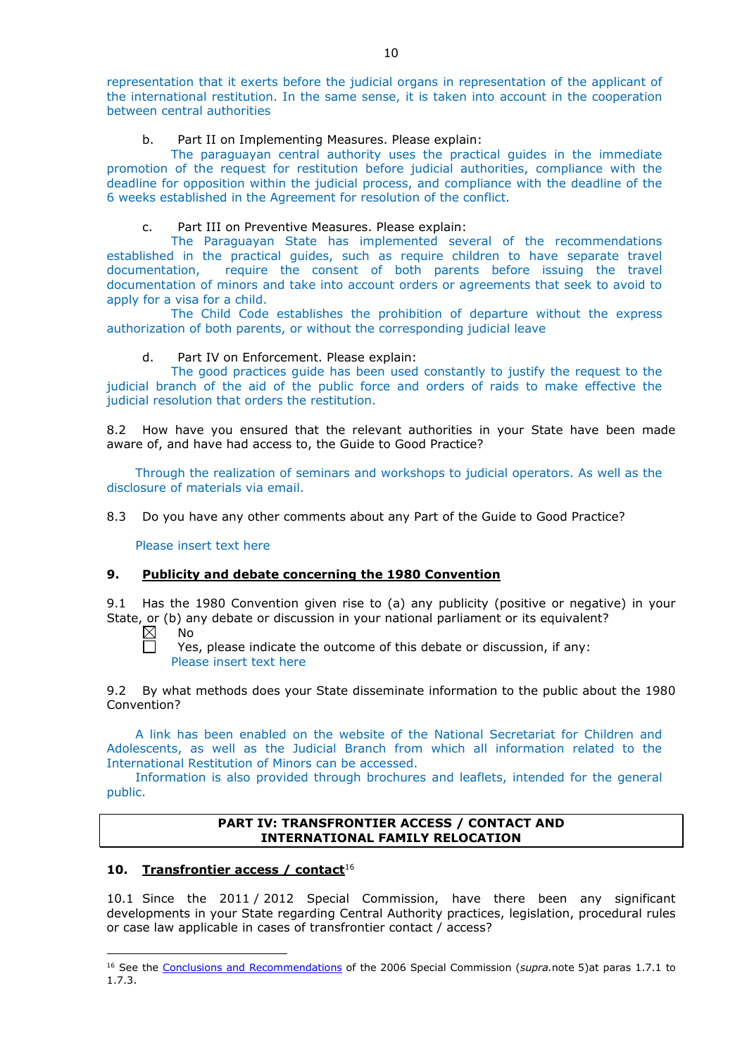representation that it exerts before the judicial organs in representation of the applicant of the international restitution. In the same sense, it is taken into account in the cooperation between central authorities

# b. Part II on Implementing Measures. Please explain:

The paraguayan central authority uses the practical guides in the immediate promotion of the request for restitution before judicial authorities, compliance with the deadline for opposition within the judicial process, and compliance with the deadline of the 6 weeks established in the Agreement for resolution of the conflict.

# c. Part III on Preventive Measures. Please explain:

The Paraguayan State has implemented several of the recommendations established in the practical guides, such as require children to have separate travel documentation, require the consent of both parents before issuing the travel documentation of minors and take into account orders or agreements that seek to avoid to apply for a visa for a child.

The Child Code establishes the prohibition of departure without the express authorization of both parents, or without the corresponding judicial leave

# d. Part IV on Enforcement. Please explain:

The good practices guide has been used constantly to justify the request to the judicial branch of the aid of the public force and orders of raids to make effective the judicial resolution that orders the restitution.

8.2 How have you ensured that the relevant authorities in your State have been made aware of, and have had access to, the Guide to Good Practice?

Through the realization of seminars and workshops to judicial operators. As well as the disclosure of materials via email.

8.3 Do you have any other comments about any Part of the Guide to Good Practice?

Please insert text here

## **9. Publicity and debate concerning the 1980 Convention**

9.1 Has the 1980 Convention given rise to (a) any publicity (positive or negative) in your State, or (b) any debate or discussion in your national parliament or its equivalent?<br>  $\boxtimes$  No

No

-

Yes, please indicate the outcome of this debate or discussion, if any: Please insert text here

9.2 By what methods does your State disseminate information to the public about the 1980 Convention?

A link has been enabled on the website of the National Secretariat for Children and Adolescents, as well as the Judicial Branch from which all information related to the International Restitution of Minors can be accessed.

Information is also provided through brochures and leaflets, intended for the general public.

## **PART IV: TRANSFRONTIER ACCESS / CONTACT AND INTERNATIONAL FAMILY RELOCATION**

## **10. Transfrontier access / contact**<sup>16</sup>

10.1 Since the 2011 / 2012 Special Commission, have there been any significant developments in your State regarding Central Authority practices, legislation, procedural rules or case law applicable in cases of transfrontier contact / access?

<sup>16</sup> See the [Conclusions and Recommendations](https://assets.hcch.net/upload/concl28sc5_e.pdf) of the 2006 Special Commission (*supra.*note 5)at paras 1.7.1 to 1.7.3.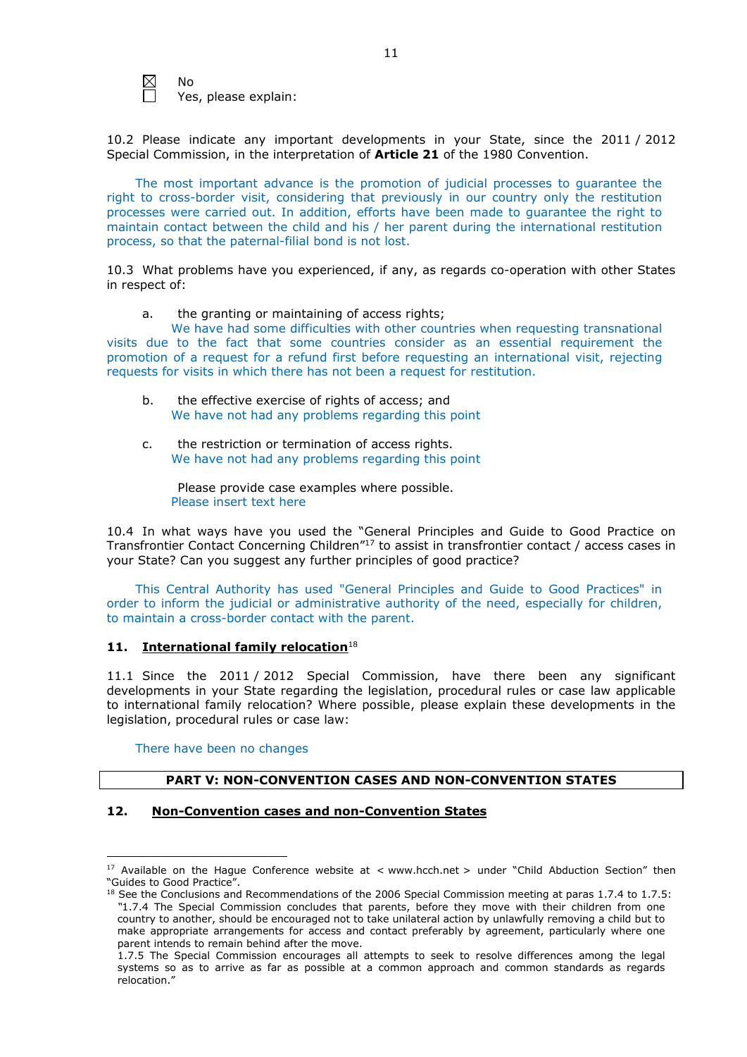$\boxtimes$ No

Yes, please explain:

10.2 Please indicate any important developments in your State, since the 2011 / 2012 Special Commission, in the interpretation of **Article 21** of the 1980 Convention.

The most important advance is the promotion of judicial processes to guarantee the right to cross-border visit, considering that previously in our country only the restitution processes were carried out. In addition, efforts have been made to guarantee the right to maintain contact between the child and his / her parent during the international restitution process, so that the paternal-filial bond is not lost.

10.3 What problems have you experienced, if any, as regards co-operation with other States in respect of:

a. the granting or maintaining of access rights;

We have had some difficulties with other countries when requesting transnational visits due to the fact that some countries consider as an essential requirement the promotion of a request for a refund first before requesting an international visit, rejecting requests for visits in which there has not been a request for restitution.

- b. the effective exercise of rights of access; and We have not had any problems regarding this point
- c. the restriction or termination of access rights. We have not had any problems regarding this point

Please provide case examples where possible. Please insert text here

10.4 In what ways have you used the "General Principles and Guide to Good Practice on Transfrontier Contact Concerning Children"17 to assist in transfrontier contact / access cases in your State? Can you suggest any further principles of good practice?

This Central Authority has used "General Principles and Guide to Good Practices" in order to inform the judicial or administrative authority of the need, especially for children, to maintain a cross-border contact with the parent.

# 11. **International family relocation**<sup>18</sup>

11.1 Since the 2011 / 2012 Special Commission, have there been any significant developments in your State regarding the legislation, procedural rules or case law applicable to international family relocation? Where possible, please explain these developments in the legislation, procedural rules or case law:

## There have been no changes

# **PART V: NON-CONVENTION CASES AND NON-CONVENTION STATES**

# **12. Non-Convention cases and non-Convention States**

<sup>&</sup>lt;u>.</u> <sup>17</sup> Available on the Hague Conference website at < www.hcch.net > under "Child Abduction Section" then "Guides to Good Practice".

 $18$  See the Conclusions and Recommendations of the 2006 Special Commission meeting at paras 1.7.4 to 1.7.5: *"*1.7.4 The Special Commission concludes that parents, before they move with their children from one country to another, should be encouraged not to take unilateral action by unlawfully removing a child but to make appropriate arrangements for access and contact preferably by agreement, particularly where one parent intends to remain behind after the move.

<sup>1.7.5</sup> The Special Commission encourages all attempts to seek to resolve differences among the legal systems so as to arrive as far as possible at a common approach and common standards as regards relocation."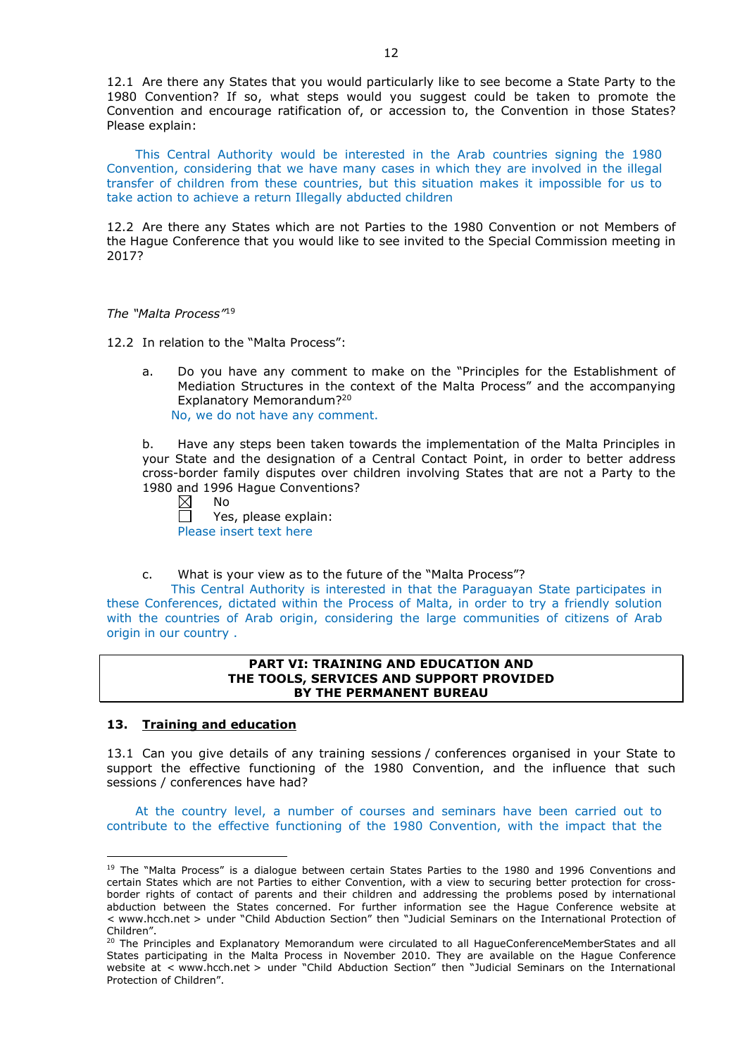12.1 Are there any States that you would particularly like to see become a State Party to the 1980 Convention? If so, what steps would you suggest could be taken to promote the Convention and encourage ratification of, or accession to, the Convention in those States? Please explain:

This Central Authority would be interested in the Arab countries signing the 1980 Convention, considering that we have many cases in which they are involved in the illegal transfer of children from these countries, but this situation makes it impossible for us to take action to achieve a return Illegally abducted children

12.2 Are there any States which are not Parties to the 1980 Convention or not Members of the Hague Conference that you would like to see invited to the Special Commission meeting in 2017?

#### *The "Malta Process"*<sup>19</sup>

12.2 In relation to the "Malta Process":

a. Do you have any comment to make on the "Principles for the Establishment of Mediation Structures in the context of the Malta Process" and the accompanying Explanatory Memorandum?20 No, we do not have any comment.

b. Have any steps been taken towards the implementation of the Malta Principles in your State and the designation of a Central Contact Point, in order to better address cross-border family disputes over children involving States that are not a Party to the 1980 and 1996 Hague Conventions?<br>  $\boxtimes$  No

No

 $\Box$ Yes, please explain: Please insert text here

c. What is your view as to the future of the "Malta Process"?

This Central Authority is interested in that the Paraguayan State participates in these Conferences, dictated within the Process of Malta, in order to try a friendly solution with the countries of Arab origin, considering the large communities of citizens of Arab origin in our country .

#### **PART VI: TRAINING AND EDUCATION AND THE TOOLS, SERVICES AND SUPPORT PROVIDED BY THE PERMANENT BUREAU**

## **13. Training and education**

<u>.</u>

13.1 Can you give details of any training sessions / conferences organised in your State to support the effective functioning of the 1980 Convention, and the influence that such sessions / conferences have had?

At the country level, a number of courses and seminars have been carried out to contribute to the effective functioning of the 1980 Convention, with the impact that the

<sup>&</sup>lt;sup>19</sup> The "Malta Process" is a dialogue between certain States Parties to the 1980 and 1996 Conventions and certain States which are not Parties to either Convention, with a view to securing better protection for crossborder rights of contact of parents and their children and addressing the problems posed by international abduction between the States concerned. For further information see the Hague Conference website at < www.hcch.net > under "Child Abduction Section" then "Judicial Seminars on the International Protection of Children".

<sup>20</sup> The Principles and Explanatory Memorandum were circulated to all HagueConferenceMemberStates and all States participating in the Malta Process in November 2010. They are available on the Hague Conference website at < www.hcch.net > under "Child Abduction Section" then "Judicial Seminars on the International Protection of Children".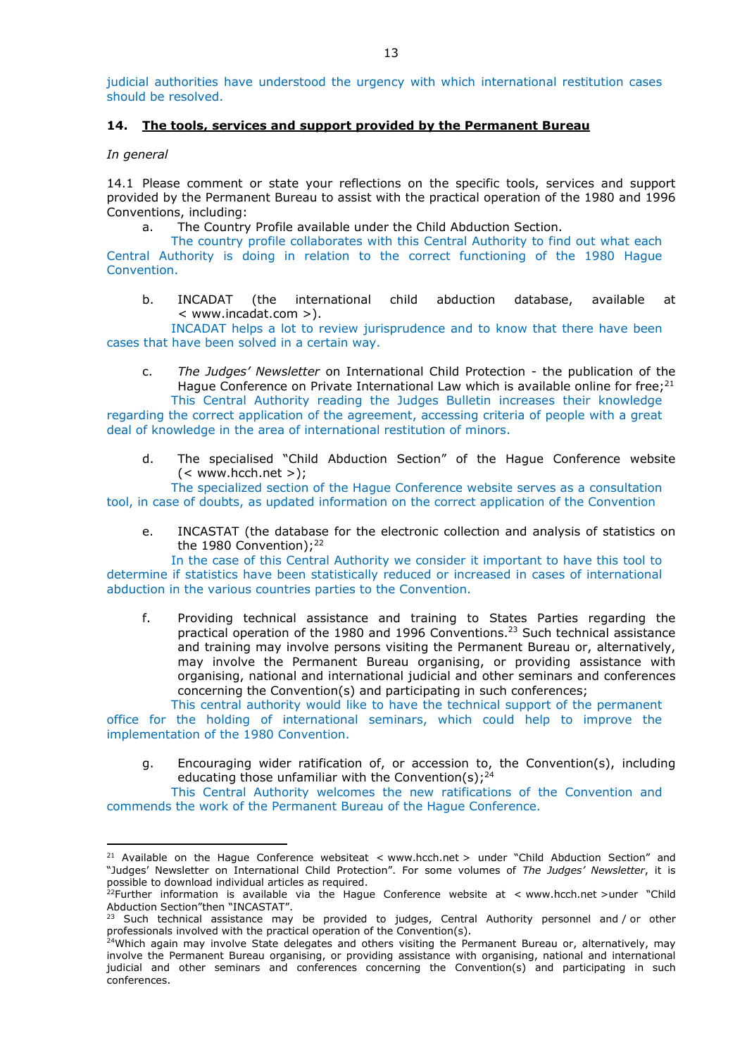judicial authorities have understood the urgency with which international restitution cases should be resolved.

## **14. The tools, services and support provided by the Permanent Bureau**

*In general*

<u>.</u>

14.1 Please comment or state your reflections on the specific tools, services and support provided by the Permanent Bureau to assist with the practical operation of the 1980 and 1996 Conventions, including:

a. The Country Profile available under the Child Abduction Section.

deal of knowledge in the area of international restitution of minors.

The country profile collaborates with this Central Authority to find out what each Central Authority is doing in relation to the correct functioning of the 1980 Hague Convention.

b. INCADAT (the international child abduction database, available at < www.incadat.com >).

INCADAT helps a lot to review jurisprudence and to know that there have been cases that have been solved in a certain way.

- c. *The Judges' Newsletter* on International Child Protection the publication of the Hague Conference on Private International Law which is available online for free;<sup>21</sup> This Central Authority reading the Judges Bulletin increases their knowledge regarding the correct application of the agreement, accessing criteria of people with a great
	- d. The specialised "Child Abduction Section" of the Hague Conference website  $(<$  www.hcch.net >):

The specialized section of the Hague Conference website serves as a consultation tool, in case of doubts, as updated information on the correct application of the Convention

e. INCASTAT (the database for the electronic collection and analysis of statistics on the 1980 Convention); $^{22}$ 

In the case of this Central Authority we consider it important to have this tool to determine if statistics have been statistically reduced or increased in cases of international abduction in the various countries parties to the Convention.

f. Providing technical assistance and training to States Parties regarding the practical operation of the 1980 and 1996 Conventions.23 Such technical assistance and training may involve persons visiting the Permanent Bureau or, alternatively, may involve the Permanent Bureau organising, or providing assistance with organising, national and international judicial and other seminars and conferences concerning the Convention(s) and participating in such conferences;

This central authority would like to have the technical support of the permanent office for the holding of international seminars, which could help to improve the implementation of the 1980 Convention.

g. Encouraging wider ratification of, or accession to, the Convention(s), including educating those unfamiliar with the Convention(s); $^{24}$ 

This Central Authority welcomes the new ratifications of the Convention and commends the work of the Permanent Bureau of the Hague Conference.

<sup>&</sup>lt;sup>21</sup> Available on the Hague Conference websiteat < www.hcch.net > under "Child Abduction Section" and "Judges' Newsletter on International Child Protection". For some volumes of *The Judges' Newsletter*, it is possible to download individual articles as required. 22Further information is available via the Hague Conference website at < www.hcch.net >under "Child

Abduction Section"then "INCASTAT".

Such technical assistance may be provided to judges, Central Authority personnel and / or other professionals involved with the practical operation of the Convention(s).

<sup>&</sup>lt;sup>24</sup>Which again may involve State delegates and others visiting the Permanent Bureau or, alternatively, may involve the Permanent Bureau organising, or providing assistance with organising, national and international judicial and other seminars and conferences concerning the Convention(s) and participating in such conferences.